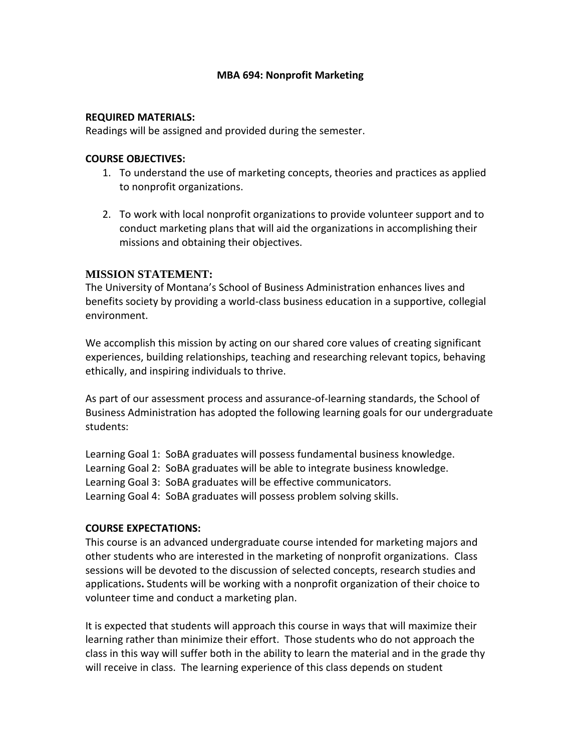### **MBA 694: Nonprofit Marketing**

#### **REQUIRED MATERIALS:**

Readings will be assigned and provided during the semester.

#### **COURSE OBJECTIVES:**

- 1. To understand the use of marketing concepts, theories and practices as applied to nonprofit organizations.
- 2. To work with local nonprofit organizations to provide volunteer support and to conduct marketing plans that will aid the organizations in accomplishing their missions and obtaining their objectives.

## **MISSION STATEMENT:**

The University of Montana's School of Business Administration enhances lives and benefits society by providing a world-class business education in a supportive, collegial environment.

We accomplish this mission by acting on our shared core values of creating significant experiences, building relationships, teaching and researching relevant topics, behaving ethically, and inspiring individuals to thrive.

As part of our assessment process and assurance-of-learning standards, the School of Business Administration has adopted the following learning goals for our undergraduate students:

Learning Goal 1: SoBA graduates will possess fundamental business knowledge. Learning Goal 2: SoBA graduates will be able to integrate business knowledge. Learning Goal 3: SoBA graduates will be effective communicators. Learning Goal 4: SoBA graduates will possess problem solving skills.

### **COURSE EXPECTATIONS:**

This course is an advanced undergraduate course intended for marketing majors and other students who are interested in the marketing of nonprofit organizations. Class sessions will be devoted to the discussion of selected concepts, research studies and applications**.** Students will be working with a nonprofit organization of their choice to volunteer time and conduct a marketing plan.

It is expected that students will approach this course in ways that will maximize their learning rather than minimize their effort. Those students who do not approach the class in this way will suffer both in the ability to learn the material and in the grade thy will receive in class. The learning experience of this class depends on student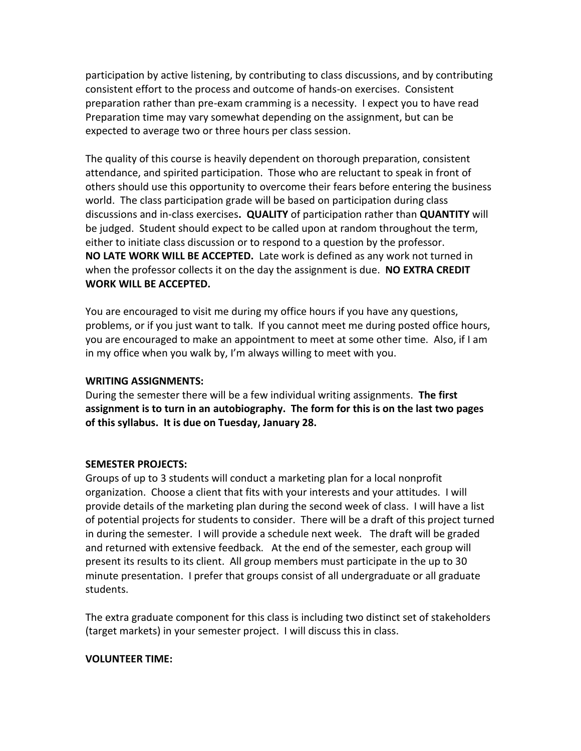participation by active listening, by contributing to class discussions, and by contributing consistent effort to the process and outcome of hands-on exercises. Consistent preparation rather than pre-exam cramming is a necessity. I expect you to have read Preparation time may vary somewhat depending on the assignment, but can be expected to average two or three hours per class session.

The quality of this course is heavily dependent on thorough preparation, consistent attendance, and spirited participation. Those who are reluctant to speak in front of others should use this opportunity to overcome their fears before entering the business world. The class participation grade will be based on participation during class discussions and in-class exercises**. QUALITY** of participation rather than **QUANTITY** will be judged. Student should expect to be called upon at random throughout the term, either to initiate class discussion or to respond to a question by the professor. **NO LATE WORK WILL BE ACCEPTED.** Late work is defined as any work not turned in when the professor collects it on the day the assignment is due. **NO EXTRA CREDIT WORK WILL BE ACCEPTED.**

You are encouraged to visit me during my office hours if you have any questions, problems, or if you just want to talk. If you cannot meet me during posted office hours, you are encouraged to make an appointment to meet at some other time. Also, if I am in my office when you walk by, I'm always willing to meet with you.

## **WRITING ASSIGNMENTS:**

During the semester there will be a few individual writing assignments. **The first assignment is to turn in an autobiography. The form for this is on the last two pages of this syllabus. It is due on Tuesday, January 28.**

### **SEMESTER PROJECTS:**

Groups of up to 3 students will conduct a marketing plan for a local nonprofit organization. Choose a client that fits with your interests and your attitudes. I will provide details of the marketing plan during the second week of class. I will have a list of potential projects for students to consider. There will be a draft of this project turned in during the semester. I will provide a schedule next week. The draft will be graded and returned with extensive feedback. At the end of the semester, each group will present its results to its client. All group members must participate in the up to 30 minute presentation. I prefer that groups consist of all undergraduate or all graduate students.

The extra graduate component for this class is including two distinct set of stakeholders (target markets) in your semester project. I will discuss this in class.

### **VOLUNTEER TIME:**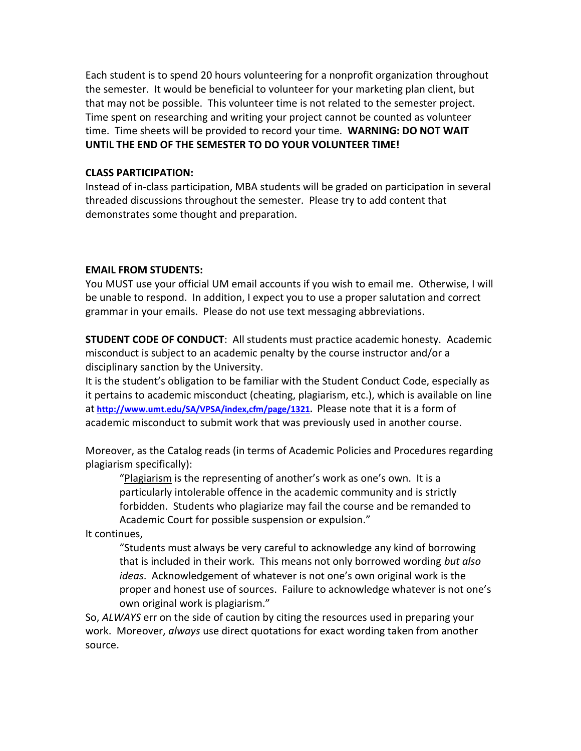Each student is to spend 20 hours volunteering for a nonprofit organization throughout the semester. It would be beneficial to volunteer for your marketing plan client, but that may not be possible. This volunteer time is not related to the semester project. Time spent on researching and writing your project cannot be counted as volunteer time. Time sheets will be provided to record your time. **WARNING: DO NOT WAIT UNTIL THE END OF THE SEMESTER TO DO YOUR VOLUNTEER TIME!** 

#### **CLASS PARTICIPATION:**

Instead of in-class participation, MBA students will be graded on participation in several threaded discussions throughout the semester. Please try to add content that demonstrates some thought and preparation.

#### **EMAIL FROM STUDENTS:**

You MUST use your official UM email accounts if you wish to email me. Otherwise, I will be unable to respond. In addition, I expect you to use a proper salutation and correct grammar in your emails. Please do not use text messaging abbreviations.

**STUDENT CODE OF CONDUCT**: All students must practice academic honesty. Academic misconduct is subject to an academic penalty by the course instructor and/or a disciplinary sanction by the University.

It is the student's obligation to be familiar with the Student Conduct Code, especially as it pertains to academic misconduct (cheating, plagiarism, etc.), which is available on line at **[http://www.umt.edu/SA/VPSA/index,cfm/page/1321.](http://www.umt.edu/SA/VPSA/index,cfm/page/1321)** Please note that it is a form of academic misconduct to submit work that was previously used in another course.

Moreover, as the Catalog reads (in terms of Academic Policies and Procedures regarding plagiarism specifically):

"Plagiarism is the representing of another's work as one's own. It is a particularly intolerable offence in the academic community and is strictly forbidden. Students who plagiarize may fail the course and be remanded to Academic Court for possible suspension or expulsion."

It continues,

"Students must always be very careful to acknowledge any kind of borrowing that is included in their work. This means not only borrowed wording *but also ideas*. Acknowledgement of whatever is not one's own original work is the proper and honest use of sources. Failure to acknowledge whatever is not one's own original work is plagiarism."

So, *ALWAYS* err on the side of caution by citing the resources used in preparing your work. Moreover, *always* use direct quotations for exact wording taken from another source.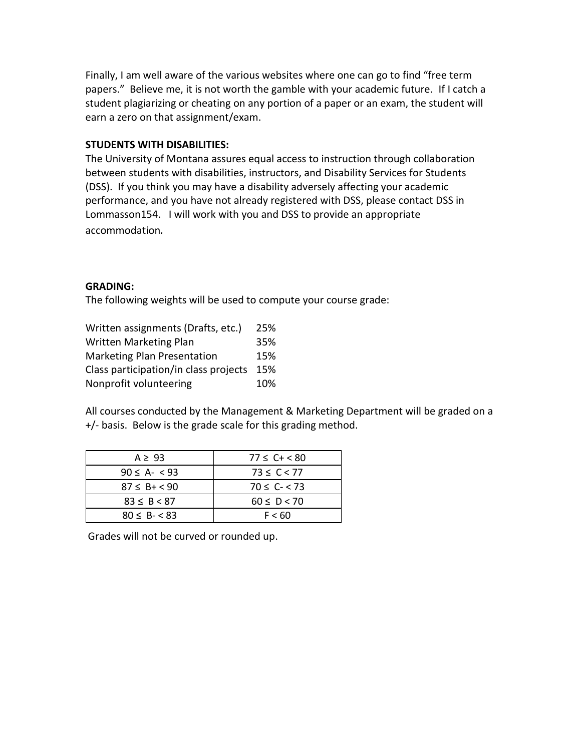Finally, I am well aware of the various websites where one can go to find "free term papers." Believe me, it is not worth the gamble with your academic future. If I catch a student plagiarizing or cheating on any portion of a paper or an exam, the student will earn a zero on that assignment/exam.

### **STUDENTS WITH DISABILITIES:**

The University of Montana assures equal access to instruction through collaboration between students with disabilities, instructors, and Disability Services for Students (DSS). If you think you may have a disability adversely affecting your academic performance, and you have not already registered with DSS, please contact DSS in Lommasson154. I will work with you and DSS to provide an appropriate accommodation*.*

### **GRADING:**

The following weights will be used to compute your course grade:

| Written assignments (Drafts, etc.)    | 25% |
|---------------------------------------|-----|
| <b>Written Marketing Plan</b>         | 35% |
| <b>Marketing Plan Presentation</b>    | 15% |
| Class participation/in class projects | 15% |
| Nonprofit volunteering                | 10% |

All courses conducted by the Management & Marketing Department will be graded on a +/- basis. Below is the grade scale for this grading method.

| $A \geq 93$         | $77 \le C + < 80$ |  |
|---------------------|-------------------|--|
| $90 \le A - 93$     | $73 \le C < 77$   |  |
| $87 \le B + \le 90$ | $70 \le C - 73$   |  |
| $83 \le B \le 87$   | $60 \le D < 70$   |  |
| $80 \le B - 83$     | F < 60            |  |

Grades will not be curved or rounded up.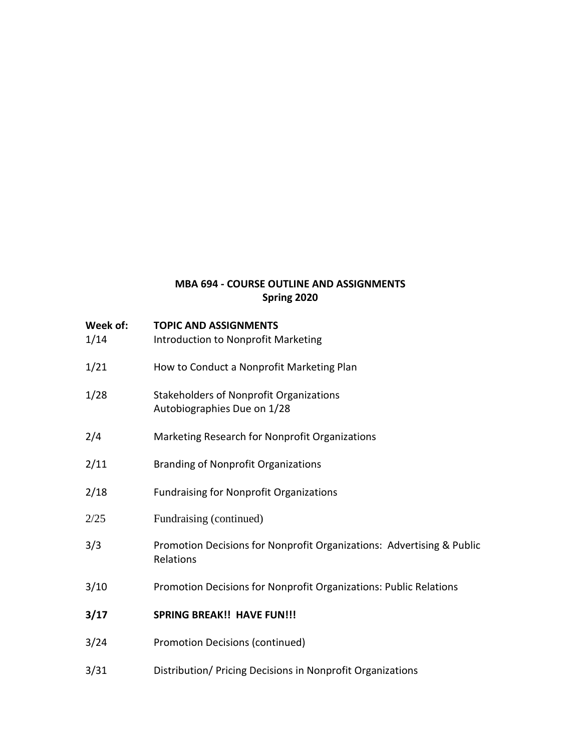# **MBA 694 - COURSE OUTLINE AND ASSIGNMENTS Spring 2020**

| Week of:<br>1/14 | <b>TOPIC AND ASSIGNMENTS</b><br>Introduction to Nonprofit Marketing                |  |
|------------------|------------------------------------------------------------------------------------|--|
| 1/21             | How to Conduct a Nonprofit Marketing Plan                                          |  |
| 1/28             | <b>Stakeholders of Nonprofit Organizations</b><br>Autobiographies Due on 1/28      |  |
| 2/4              | Marketing Research for Nonprofit Organizations                                     |  |
| 2/11             | <b>Branding of Nonprofit Organizations</b>                                         |  |
| 2/18             | <b>Fundraising for Nonprofit Organizations</b>                                     |  |
| 2/25             | Fundraising (continued)                                                            |  |
| 3/3              | Promotion Decisions for Nonprofit Organizations: Advertising & Public<br>Relations |  |
| 3/10             | Promotion Decisions for Nonprofit Organizations: Public Relations                  |  |
| 3/17             | <b>SPRING BREAK!! HAVE FUN!!!</b>                                                  |  |
| 3/24             | <b>Promotion Decisions (continued)</b>                                             |  |
| 3/31             | Distribution/ Pricing Decisions in Nonprofit Organizations                         |  |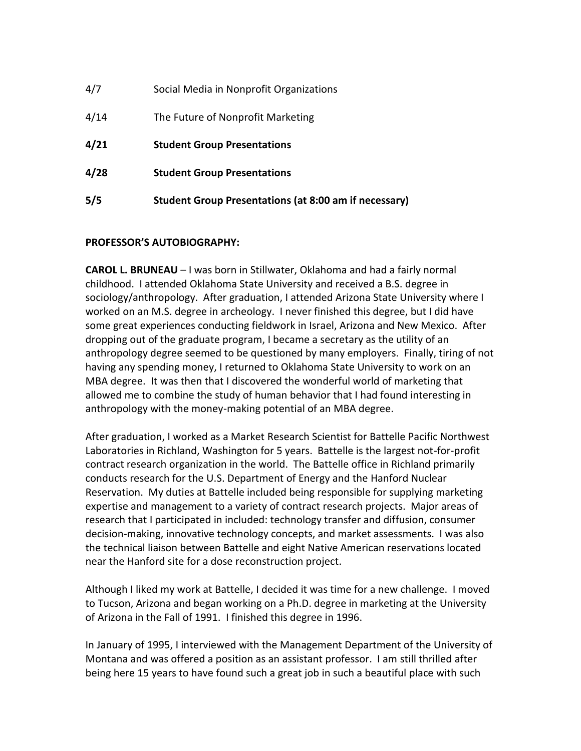| 4/7  | Social Media in Nonprofit Organizations                      |
|------|--------------------------------------------------------------|
| 4/14 | The Future of Nonprofit Marketing                            |
| 4/21 | <b>Student Group Presentations</b>                           |
| 4/28 | <b>Student Group Presentations</b>                           |
| 5/5  | <b>Student Group Presentations (at 8:00 am if necessary)</b> |

## **PROFESSOR'S AUTOBIOGRAPHY:**

**CAROL L. BRUNEAU** – I was born in Stillwater, Oklahoma and had a fairly normal childhood. I attended Oklahoma State University and received a B.S. degree in sociology/anthropology. After graduation, I attended Arizona State University where I worked on an M.S. degree in archeology. I never finished this degree, but I did have some great experiences conducting fieldwork in Israel, Arizona and New Mexico. After dropping out of the graduate program, I became a secretary as the utility of an anthropology degree seemed to be questioned by many employers. Finally, tiring of not having any spending money, I returned to Oklahoma State University to work on an MBA degree. It was then that I discovered the wonderful world of marketing that allowed me to combine the study of human behavior that I had found interesting in anthropology with the money-making potential of an MBA degree.

After graduation, I worked as a Market Research Scientist for Battelle Pacific Northwest Laboratories in Richland, Washington for 5 years. Battelle is the largest not-for-profit contract research organization in the world. The Battelle office in Richland primarily conducts research for the U.S. Department of Energy and the Hanford Nuclear Reservation. My duties at Battelle included being responsible for supplying marketing expertise and management to a variety of contract research projects. Major areas of research that I participated in included: technology transfer and diffusion, consumer decision-making, innovative technology concepts, and market assessments. I was also the technical liaison between Battelle and eight Native American reservations located near the Hanford site for a dose reconstruction project.

Although I liked my work at Battelle, I decided it was time for a new challenge. I moved to Tucson, Arizona and began working on a Ph.D. degree in marketing at the University of Arizona in the Fall of 1991. I finished this degree in 1996.

In January of 1995, I interviewed with the Management Department of the University of Montana and was offered a position as an assistant professor. I am still thrilled after being here 15 years to have found such a great job in such a beautiful place with such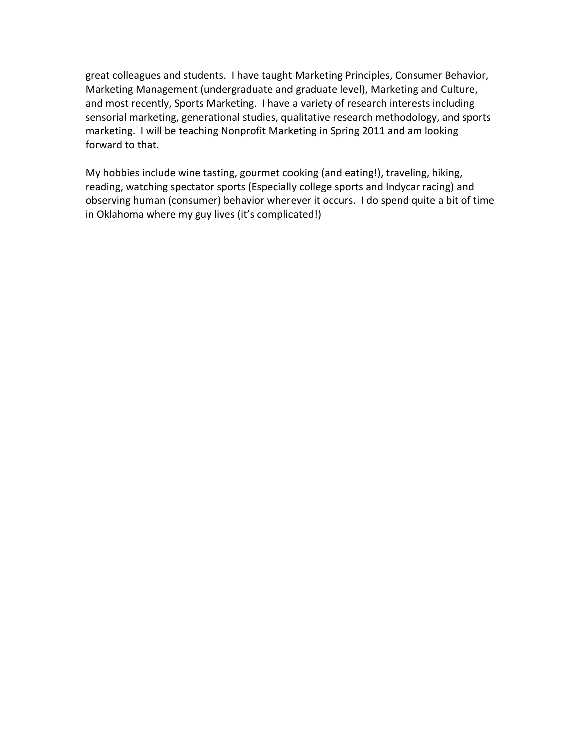great colleagues and students. I have taught Marketing Principles, Consumer Behavior, Marketing Management (undergraduate and graduate level), Marketing and Culture, and most recently, Sports Marketing. I have a variety of research interests including sensorial marketing, generational studies, qualitative research methodology, and sports marketing. I will be teaching Nonprofit Marketing in Spring 2011 and am looking forward to that.

My hobbies include wine tasting, gourmet cooking (and eating!), traveling, hiking, reading, watching spectator sports (Especially college sports and Indycar racing) and observing human (consumer) behavior wherever it occurs. I do spend quite a bit of time in Oklahoma where my guy lives (it's complicated!)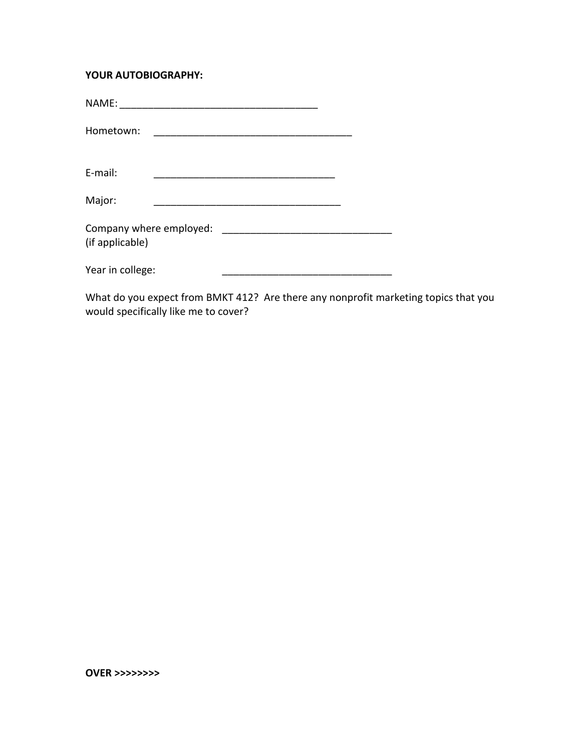## **YOUR AUTOBIOGRAPHY:**

| Hometown:                                                                                                                    | <u> 2002 - Jan Barat, martin da basar da basar da basa da basa da basa da basa da basa da basa da basa da basa d</u> |  |
|------------------------------------------------------------------------------------------------------------------------------|----------------------------------------------------------------------------------------------------------------------|--|
| E-mail:                                                                                                                      |                                                                                                                      |  |
| Major:                                                                                                                       |                                                                                                                      |  |
| (if applicable)                                                                                                              |                                                                                                                      |  |
| Year in college:                                                                                                             |                                                                                                                      |  |
| $14.0 \pm 1.1$ $\pm 1.1$ $\pm 1.1$ $\pm 1.1$ $\pm 1.1$ $\pm 1.1$ $\pm 1.1$ $\pm 1.1$ $\pm 1.1$ $\pm 1.1$ $\pm 1.1$ $\pm 1.1$ |                                                                                                                      |  |

What do you expect from BMKT 412? Are there any nonprofit marketing topics that you would specifically like me to cover?